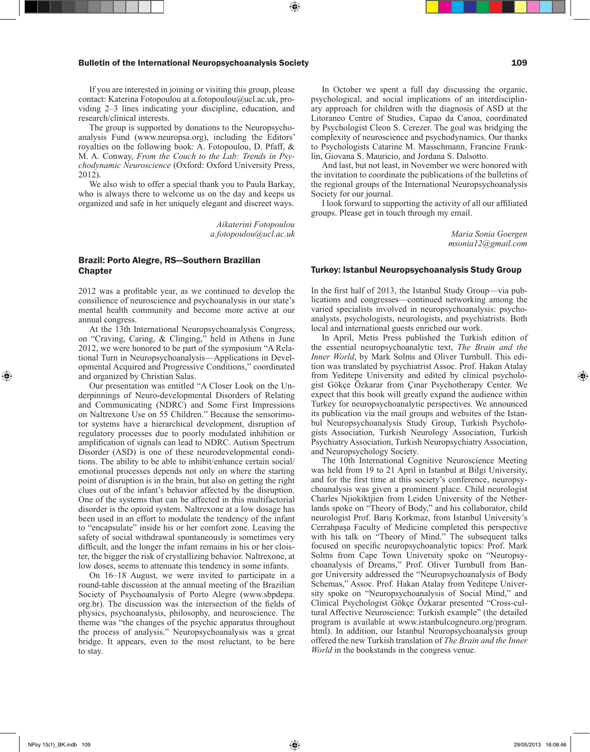## Bulletin of the International Neuropsychoanalysis Society **109** and the International Neuropsychoanalysis Society

If you are interested in joining or visiting this group, please contact: Katerina Fotopoulou at a.fotopoulou@ucl.ac.uk, providing 2–3 lines indicating your discipline, education, and research/clinical interests.

The group is supported by donations to the Neuropsychoanalysis Fund (www.neuropsa.org), including the Editors' royalties on the following book: A. Fotopoulou, D. Pfaff, & M. A. Conway, *From the Couch to the Lab: Trends in Psychodynamic Neuroscience* (Oxford: Oxford University Press, 2012).

We also wish to offer a special thank you to Paula Barkay, who is always there to welcome us on the day and keeps us organized and safe in her uniquely elegant and discreet ways.

> *Aikaterini Fotopoulou a.fotopoulou@ucl.ac.uk*

## Brazil: Porto Alegre, RS—Southern Brazilian **Chapter**

2012 was a profitable year, as we continued to develop the consilience of neuroscience and psychoanalysis in our state's mental health community and become more active at our annual congress.

At the 13th International Neuropsychoanalysis Congress, on "Craving, Caring, & Clinging," held in Athens in June 2012, we were honored to be part of the symposium "A Relational Turn in Neuropsychoanalysis—Applications in Developmental Acquired and Progressive Conditions," coordinated and organized by Christian Salas.

Our presentation was entitled "A Closer Look on the Underpinnings of Neuro-developmental Disorders of Relating and Communicating (NDRC) and Some First Impressions on Naltrexone Use on 55 Children." Because the sensorimotor systems have a hierarchical development, disruption of regulatory processes due to poorly modulated inhibition or amplification of signals can lead to NDRC. Autism Spectrum Disorder (ASD) is one of these neurodevelopmental conditions. The ability to be able to inhibit/enhance certain social/ emotional processes depends not only on where the starting point of disruption is in the brain, but also on getting the right clues out of the infant's behavior affected by the disruption. One of the systems that can be affected in this multifactorial disorder is the opioid system. Naltrexone at a low dosage has been used in an effort to modulate the tendency of the infant to "encapsulate" inside his or her comfort zone. Leaving the safety of social withdrawal spontaneously is sometimes very difficult, and the longer the infant remains in his or her cloister, the bigger the risk of crystallizing behavior. Naltrexone, at low doses, seems to attenuate this tendency in some infants.

On 16–18 August, we were invited to participate in a round-table discussion at the annual meeting of the Brazilian Society of Psychoanalysis of Porto Alegre (www.sbpdepa. org.br). The discussion was the intersection of the fields of physics, psychoanalysis, philosophy, and neuroscience. The theme was "the changes of the psychic apparatus throughout the process of analysis." Neuropsychoanalysis was a great bridge. It appears, even to the most reluctant, to be here to stay.

In October we spent a full day discussing the organic, psychological, and social implications of an interdisciplinary approach for children with the diagnosis of ASD at the Litoraneo Centre of Studies, Capao da Canoa, coordinated by Psychologist Cleon S. Cerezer. The goal was bridging the complexity of neuroscience and psychodynamics. Our thanks to Psychologists Catarine M. Masschmann, Francine Franklin, Giovana S. Mauricio, and Jordana S. Dalsotto.

And last, but not least, in November we were honored with the invitation to coordinate the publications of the bulletins of the regional groups of the International Neuropsychoanalysis Society for our journal.

I look forward to supporting the activity of all our affiliated groups. Please get in touch through my email.

> *Maria Sonia Goergen msonia12@gmail.com*

#### Turkey: Istanbul Neuropsychoanalysis Study Group

In the first half of 2013, the Istanbul Study Group—via publications and congresses—continued networking among the varied specialists involved in neuropsychoanalysis: psychoanalysts, psychologists, neurologists, and psychiatrists. Both local and international guests enriched our work.

In April, Metis Press published the Turkish edition of the essential neuropsychoanalytic text, *The Brain and the Inner World*, by Mark Solms and Oliver Turnbull. This edition was translated by psychiatrist Assoc. Prof. Hakan Atalay from Yeditepe University and edited by clinical psychologist Gökçe Özkarar from Çınar Psychotherapy Center. We expect that this book will greatly expand the audience within Turkey for neuropsychoanalytic perspectives. We announced its publication via the mail groups and websites of the Istanbul Neuropsychoanalysis Study Group, Turkish Psychologists Association, Turkish Neurology Association, Turkish Psychiatry Association, Turkish Neuropsychiatry Association, and Neuropsychology Society.

The 10th International Cognitive Neuroscience Meeting was held from 19 to 21 April in Istanbul at Bilgi University, and for the first time at this society's conference, neuropsychoanalysis was given a prominent place. Child neurologist Charles Njiokiktjien from Leiden University of the Netherlands spoke on "Theory of Body," and his collaborator, child neurologist Prof. Barış Korkmaz, from Istanbul University's Cerrahpaşa Faculty of Medicine completed this perspective with his talk on "Theory of Mind." The subsequent talks focused on specific neuropsychoanalytic topics: Prof. Mark Solms from Cape Town University spoke on "Neuropsychoanalysis of Dreams," Prof. Oliver Turnbull from Bangor University addressed the "Neuropsychoanalysis of Body Schemas," Assoc. Prof. Hakan Atalay from Yeditepe University spoke on "Neuropsychoanalysis of Social Mind," and Clinical Psychologist Gökçe Özkarar presented "Cross-cultural Affective Neuroscience: Turkish example" (the detailed program is available at www.istanbulcogneuro.org/program. html). In addition, our Istanbul Neuropsychoanalysis group offered the new Turkish translation of *The Brain and the Inner World* in the bookstands in the congress venue.